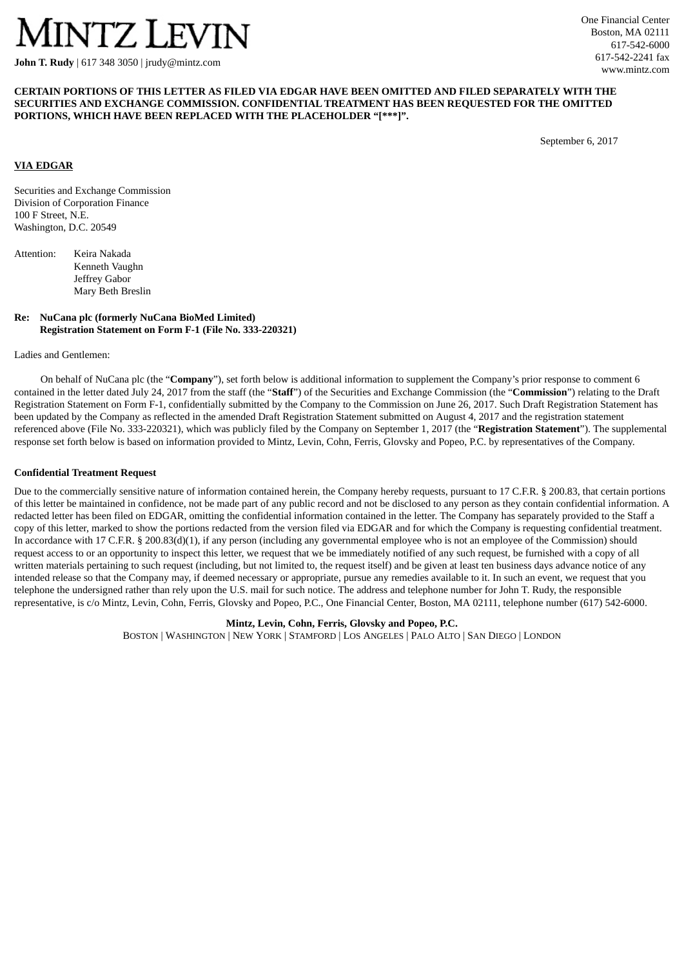# INTZ LEVIN

**John T. Rudy** | 617 348 3050 | jrudy@mintz.com

## **CERTAIN PORTIONS OF THIS LETTER AS FILED VIA EDGAR HAVE BEEN OMITTED AND FILED SEPARATELY WITH THE SECURITIES AND EXCHANGE COMMISSION. CONFIDENTIAL TREATMENT HAS BEEN REQUESTED FOR THE OMITTED PORTIONS, WHICH HAVE BEEN REPLACED WITH THE PLACEHOLDER "[\*\*\*]".**

September 6, 2017

# **VIA EDGAR**

Securities and Exchange Commission Division of Corporation Finance 100 F Street, N.E. Washington, D.C. 20549

| Attention: | Keira Nakada      |  |  |  |  |  |  |
|------------|-------------------|--|--|--|--|--|--|
|            | Kenneth Vaughn    |  |  |  |  |  |  |
|            | Jeffrey Gabor     |  |  |  |  |  |  |
|            | Mary Beth Breslin |  |  |  |  |  |  |
|            |                   |  |  |  |  |  |  |

## **Re: NuCana plc (formerly NuCana BioMed Limited) Registration Statement on Form F-1 (File No. 333-220321)**

Ladies and Gentlemen:

On behalf of NuCana plc (the "**Company**"), set forth below is additional information to supplement the Company's prior response to comment 6 contained in the letter dated July 24, 2017 from the staff (the "**Staff**") of the Securities and Exchange Commission (the "**Commission**") relating to the Draft Registration Statement on Form F-1, confidentially submitted by the Company to the Commission on June 26, 2017. Such Draft Registration Statement has been updated by the Company as reflected in the amended Draft Registration Statement submitted on August 4, 2017 and the registration statement referenced above (File No. 333-220321), which was publicly filed by the Company on September 1, 2017 (the "**Registration Statement**"). The supplemental response set forth below is based on information provided to Mintz, Levin, Cohn, Ferris, Glovsky and Popeo, P.C. by representatives of the Company.

#### **Confidential Treatment Request**

Due to the commercially sensitive nature of information contained herein, the Company hereby requests, pursuant to 17 C.F.R. § 200.83, that certain portions of this letter be maintained in confidence, not be made part of any public record and not be disclosed to any person as they contain confidential information. A redacted letter has been filed on EDGAR, omitting the confidential information contained in the letter. The Company has separately provided to the Staff a copy of this letter, marked to show the portions redacted from the version filed via EDGAR and for which the Company is requesting confidential treatment. In accordance with 17 C.F.R. § 200.83(d)(1), if any person (including any governmental employee who is not an employee of the Commission) should request access to or an opportunity to inspect this letter, we request that we be immediately notified of any such request, be furnished with a copy of all written materials pertaining to such request (including, but not limited to, the request itself) and be given at least ten business days advance notice of any intended release so that the Company may, if deemed necessary or appropriate, pursue any remedies available to it. In such an event, we request that you telephone the undersigned rather than rely upon the U.S. mail for such notice. The address and telephone number for John T. Rudy, the responsible representative, is c/o Mintz, Levin, Cohn, Ferris, Glovsky and Popeo, P.C., One Financial Center, Boston, MA 02111, telephone number (617) 542-6000.

#### **Mintz, Levin, Cohn, Ferris, Glovsky and Popeo, P.C.**

BOSTON | WASHINGTON | NEW YORK | STAMFORD | LOS ANGELES | PALO ALTO | SAN DIEGO | LONDON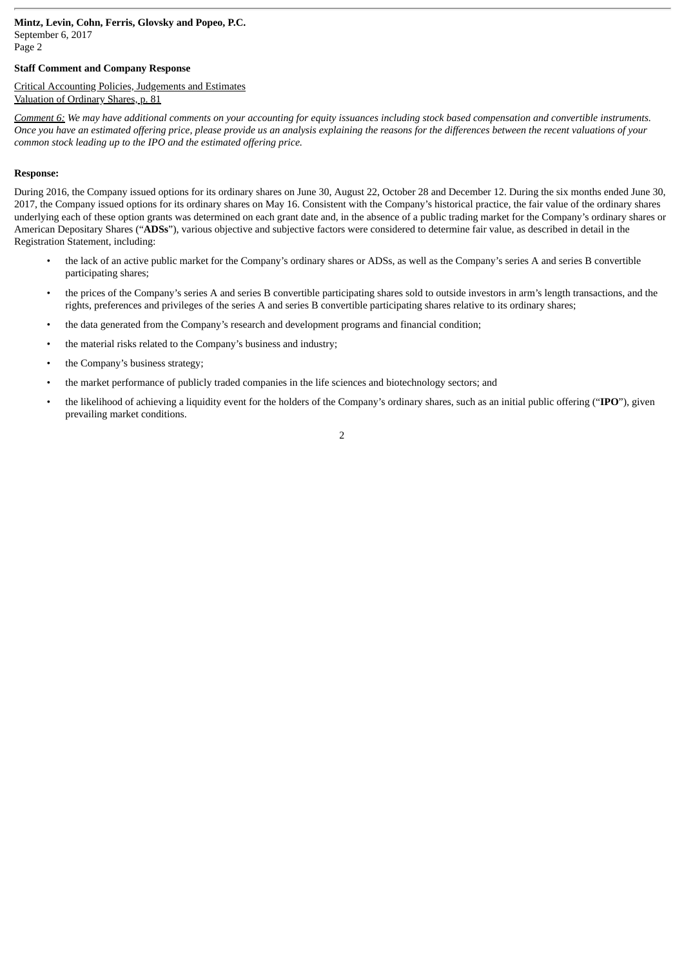Page 2

# **Staff Comment and Company Response**

#### Critical Accounting Policies, Judgements and Estimates Valuation of Ordinary Shares, p. 81

Comment 6: We may have additional comments on your accounting for equity issuances including stock based compensation and convertible instruments. Once you have an estimated offering price, please provide us an analysis explaining the reasons for the differences between the recent valuations of your *common stock leading up to the IPO and the estimated offering price.*

## **Response:**

During 2016, the Company issued options for its ordinary shares on June 30, August 22, October 28 and December 12. During the six months ended June 30, 2017, the Company issued options for its ordinary shares on May 16. Consistent with the Company's historical practice, the fair value of the ordinary shares underlying each of these option grants was determined on each grant date and, in the absence of a public trading market for the Company's ordinary shares or American Depositary Shares ("**ADSs**"), various objective and subjective factors were considered to determine fair value, as described in detail in the Registration Statement, including:

- the lack of an active public market for the Company's ordinary shares or ADSs, as well as the Company's series A and series B convertible participating shares;
- the prices of the Company's series A and series B convertible participating shares sold to outside investors in arm's length transactions, and the rights, preferences and privileges of the series A and series B convertible participating shares relative to its ordinary shares;
- the data generated from the Company's research and development programs and financial condition;
- the material risks related to the Company's business and industry;
- the Company's business strategy;
- the market performance of publicly traded companies in the life sciences and biotechnology sectors; and
- the likelihood of achieving a liquidity event for the holders of the Company's ordinary shares, such as an initial public offering ("**IPO**"), given prevailing market conditions.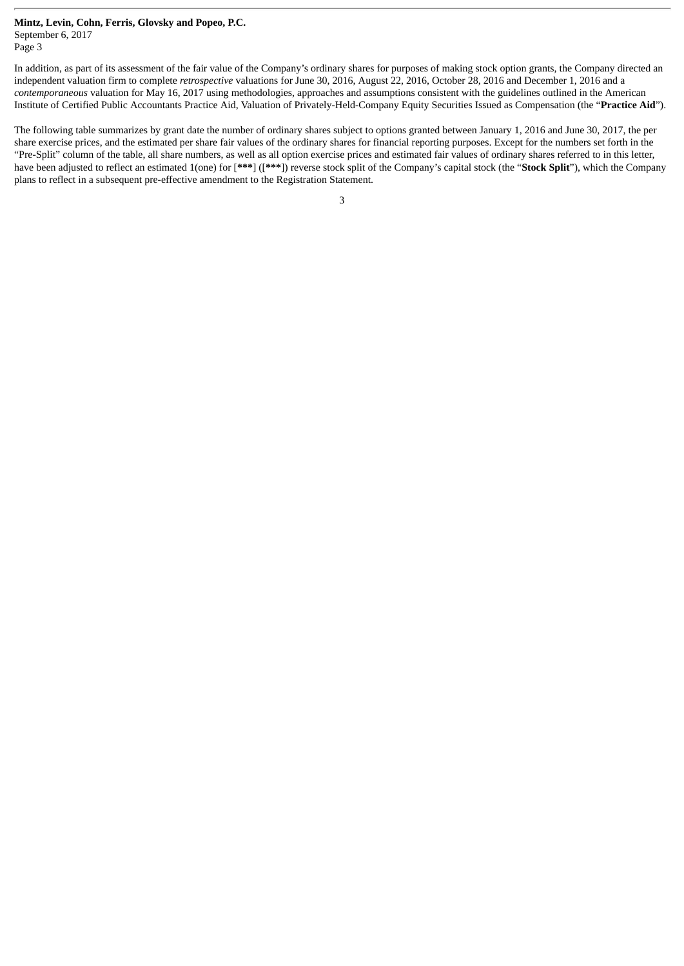Page 3

In addition, as part of its assessment of the fair value of the Company's ordinary shares for purposes of making stock option grants, the Company directed an independent valuation firm to complete *retrospective* valuations for June 30, 2016, August 22, 2016, October 28, 2016 and December 1, 2016 and a *contemporaneous* valuation for May 16, 2017 using methodologies, approaches and assumptions consistent with the guidelines outlined in the American Institute of Certified Public Accountants Practice Aid, Valuation of Privately-Held-Company Equity Securities Issued as Compensation (the "**Practice Aid**").

The following table summarizes by grant date the number of ordinary shares subject to options granted between January 1, 2016 and June 30, 2017, the per share exercise prices, and the estimated per share fair values of the ordinary shares for financial reporting purposes. Except for the numbers set forth in the "Pre-Split" column of the table, all share numbers, as well as all option exercise prices and estimated fair values of ordinary shares referred to in this letter, have been adjusted to reflect an estimated 1(one) for [**\*\*\***] ([**\*\*\***]) reverse stock split of the Company's capital stock (the "**Stock Split**"), which the Company plans to reflect in a subsequent pre-effective amendment to the Registration Statement.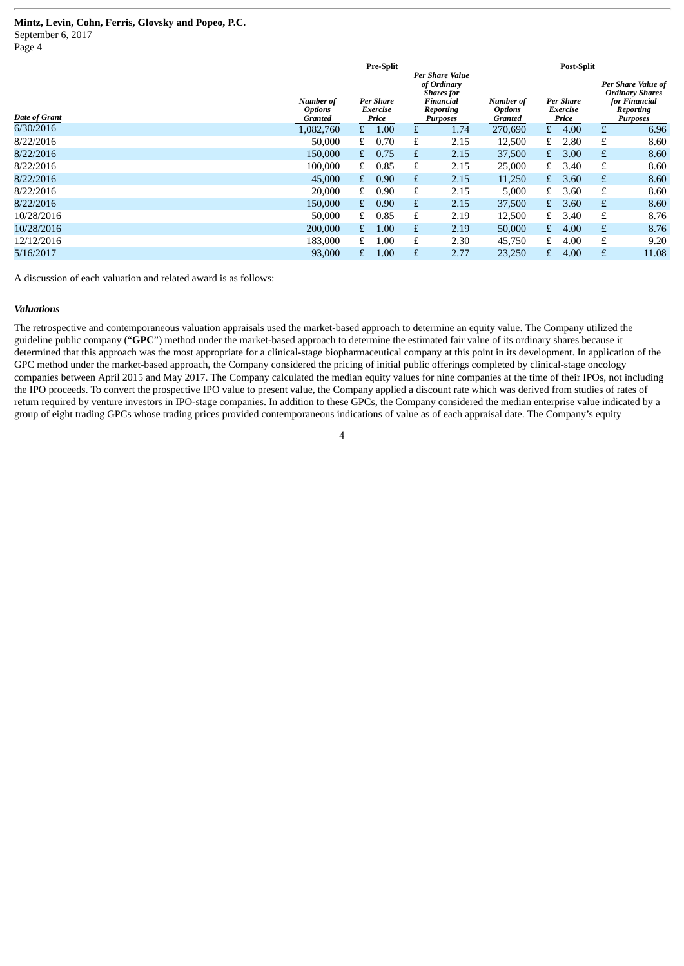Page 4

|               |                                        | <b>Pre-Split</b> |                                |   |                                                                                           |                                        | <b>Post-Split</b>                     |      |                                                                                               |       |  |
|---------------|----------------------------------------|------------------|--------------------------------|---|-------------------------------------------------------------------------------------------|----------------------------------------|---------------------------------------|------|-----------------------------------------------------------------------------------------------|-------|--|
| Date of Grant | Number of<br><b>Options</b><br>Granted |                  | Per Share<br>Exercise<br>Price |   | Per Share Value<br>of Ordinary<br><b>Shares</b> for<br>Financial<br>Reporting<br>Purposes | Number of<br><b>Options</b><br>Granted | <b>Per Share</b><br>Exercise<br>Price |      | Per Share Value of<br><b>Ordinary Shares</b><br>for Financial<br>Reporting<br><b>Purposes</b> |       |  |
| 6/30/2016     | 1,082,760                              | £                | 1.00                           | £ | 1.74                                                                                      | 270,690                                | £                                     | 4.00 |                                                                                               | 6.96  |  |
| 8/22/2016     | 50,000                                 | £                | 0.70                           | £ | 2.15                                                                                      | 12,500                                 | £                                     | 2.80 | £                                                                                             | 8.60  |  |
| 8/22/2016     | 150,000                                | £                | 0.75                           | £ | 2.15                                                                                      | 37,500                                 | £                                     | 3.00 | £                                                                                             | 8.60  |  |
| 8/22/2016     | 100,000                                | £                | 0.85                           | £ | 2.15                                                                                      | 25,000                                 | £                                     | 3.40 | £                                                                                             | 8.60  |  |
| 8/22/2016     | 45,000                                 | £                | 0.90                           | £ | 2.15                                                                                      | 11,250                                 | £                                     | 3.60 | £                                                                                             | 8.60  |  |
| 8/22/2016     | 20,000                                 | £                | 0.90                           | £ | 2.15                                                                                      | 5,000                                  | £                                     | 3.60 | £                                                                                             | 8.60  |  |
| 8/22/2016     | 150,000                                | £                | 0.90                           | £ | 2.15                                                                                      | 37,500                                 | £                                     | 3.60 | £                                                                                             | 8.60  |  |
| 10/28/2016    | 50,000                                 | £                | 0.85                           | £ | 2.19                                                                                      | 12,500                                 | £                                     | 3.40 | £                                                                                             | 8.76  |  |
| 10/28/2016    | 200,000                                | £                | 1.00                           | £ | 2.19                                                                                      | 50,000                                 | £                                     | 4.00 | £                                                                                             | 8.76  |  |
| 12/12/2016    | 183,000                                | £                | 1.00                           | £ | 2.30                                                                                      | 45,750                                 | £                                     | 4.00 | £                                                                                             | 9.20  |  |
| 5/16/2017     | 93,000                                 | £.               | 1.00                           | £ | 2.77                                                                                      | 23,250                                 | £                                     | 4.00 | £                                                                                             | 11.08 |  |

A discussion of each valuation and related award is as follows:

#### *Valuations*

The retrospective and contemporaneous valuation appraisals used the market-based approach to determine an equity value. The Company utilized the guideline public company ("**GPC**") method under the market-based approach to determine the estimated fair value of its ordinary shares because it determined that this approach was the most appropriate for a clinical-stage biopharmaceutical company at this point in its development. In application of the GPC method under the market-based approach, the Company considered the pricing of initial public offerings completed by clinical-stage oncology companies between April 2015 and May 2017. The Company calculated the median equity values for nine companies at the time of their IPOs, not including the IPO proceeds. To convert the prospective IPO value to present value, the Company applied a discount rate which was derived from studies of rates of return required by venture investors in IPO-stage companies. In addition to these GPCs, the Company considered the median enterprise value indicated by a group of eight trading GPCs whose trading prices provided contemporaneous indications of value as of each appraisal date. The Company's equity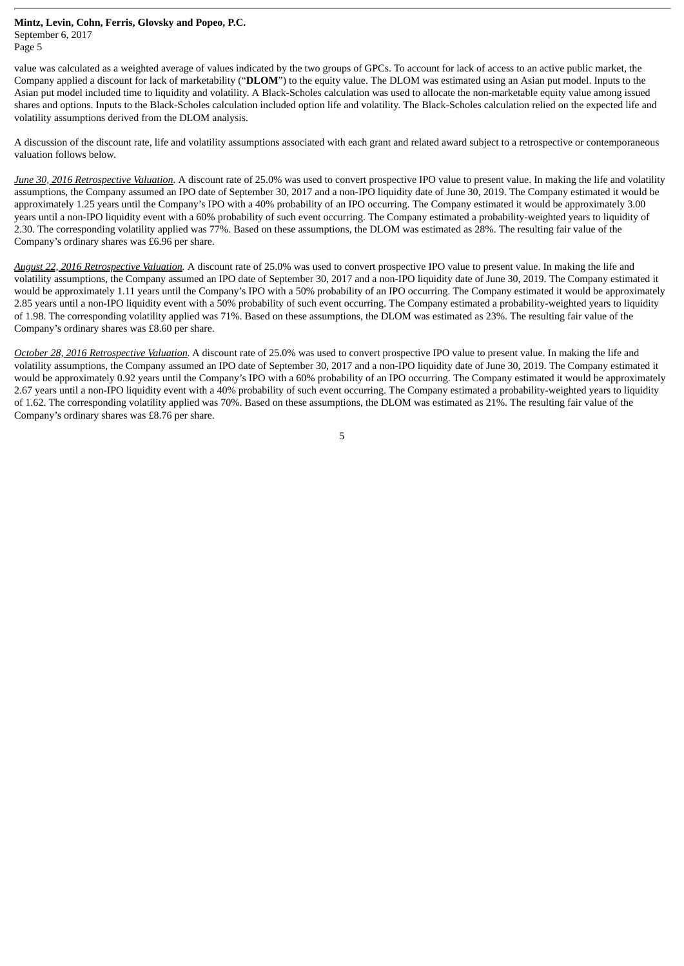Page 5

value was calculated as a weighted average of values indicated by the two groups of GPCs. To account for lack of access to an active public market, the Company applied a discount for lack of marketability ("**DLOM**") to the equity value. The DLOM was estimated using an Asian put model. Inputs to the Asian put model included time to liquidity and volatility. A Black-Scholes calculation was used to allocate the non-marketable equity value among issued shares and options. Inputs to the Black-Scholes calculation included option life and volatility. The Black-Scholes calculation relied on the expected life and volatility assumptions derived from the DLOM analysis.

A discussion of the discount rate, life and volatility assumptions associated with each grant and related award subject to a retrospective or contemporaneous valuation follows below.

*June 30, 2016 Retrospective Valuation*. A discount rate of 25.0% was used to convert prospective IPO value to present value. In making the life and volatility assumptions, the Company assumed an IPO date of September 30, 2017 and a non-IPO liquidity date of June 30, 2019. The Company estimated it would be approximately 1.25 years until the Company's IPO with a 40% probability of an IPO occurring. The Company estimated it would be approximately 3.00 years until a non-IPO liquidity event with a 60% probability of such event occurring. The Company estimated a probability-weighted years to liquidity of 2.30. The corresponding volatility applied was 77%. Based on these assumptions, the DLOM was estimated as 28%. The resulting fair value of the Company's ordinary shares was £6.96 per share.

*August 22, 2016 Retrospective Valuation.* A discount rate of 25.0% was used to convert prospective IPO value to present value. In making the life and volatility assumptions, the Company assumed an IPO date of September 30, 2017 and a non-IPO liquidity date of June 30, 2019. The Company estimated it would be approximately 1.11 years until the Company's IPO with a 50% probability of an IPO occurring. The Company estimated it would be approximately 2.85 years until a non-IPO liquidity event with a 50% probability of such event occurring. The Company estimated a probability-weighted years to liquidity of 1.98. The corresponding volatility applied was 71%. Based on these assumptions, the DLOM was estimated as 23%. The resulting fair value of the Company's ordinary shares was £8.60 per share.

*October 28, 2016 Retrospective Valuation.* A discount rate of 25.0% was used to convert prospective IPO value to present value. In making the life and volatility assumptions, the Company assumed an IPO date of September 30, 2017 and a non-IPO liquidity date of June 30, 2019. The Company estimated it would be approximately 0.92 years until the Company's IPO with a 60% probability of an IPO occurring. The Company estimated it would be approximately 2.67 years until a non-IPO liquidity event with a 40% probability of such event occurring. The Company estimated a probability-weighted years to liquidity of 1.62. The corresponding volatility applied was 70%. Based on these assumptions, the DLOM was estimated as 21%. The resulting fair value of the Company's ordinary shares was £8.76 per share.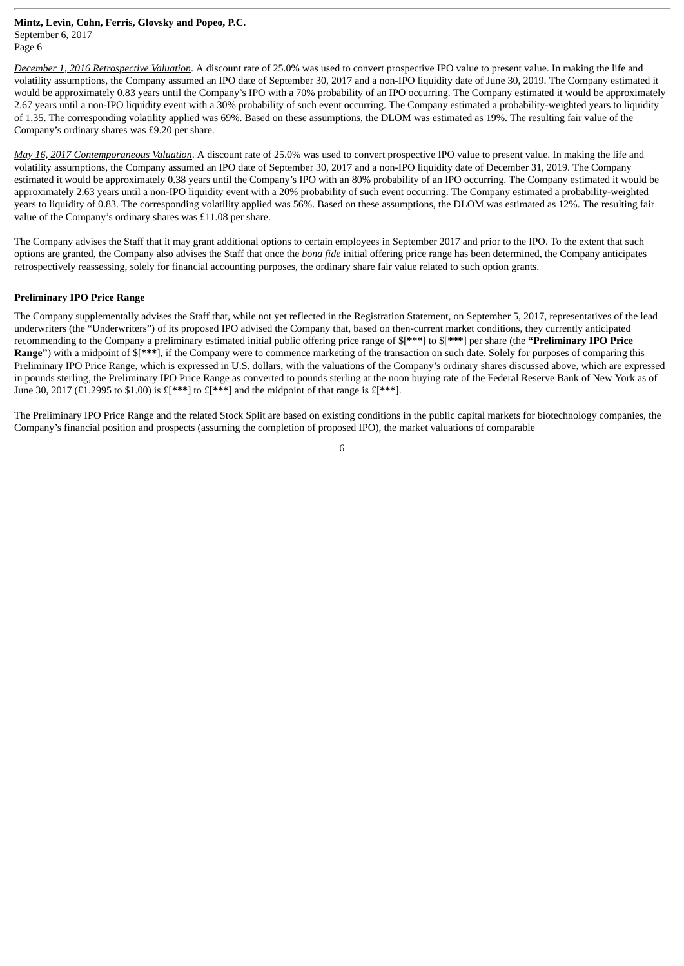*December 1, 2016 Retrospective Valuation*. A discount rate of 25.0% was used to convert prospective IPO value to present value. In making the life and volatility assumptions, the Company assumed an IPO date of September 30, 2017 and a non-IPO liquidity date of June 30, 2019. The Company estimated it would be approximately 0.83 years until the Company's IPO with a 70% probability of an IPO occurring. The Company estimated it would be approximately 2.67 years until a non-IPO liquidity event with a 30% probability of such event occurring. The Company estimated a probability-weighted years to liquidity of 1.35. The corresponding volatility applied was 69%. Based on these assumptions, the DLOM was estimated as 19%. The resulting fair value of the Company's ordinary shares was £9.20 per share.

*May 16, 2017 Contemporaneous Valuation*. A discount rate of 25.0% was used to convert prospective IPO value to present value. In making the life and volatility assumptions, the Company assumed an IPO date of September 30, 2017 and a non-IPO liquidity date of December 31, 2019. The Company estimated it would be approximately 0.38 years until the Company's IPO with an 80% probability of an IPO occurring. The Company estimated it would be approximately 2.63 years until a non-IPO liquidity event with a 20% probability of such event occurring. The Company estimated a probability-weighted years to liquidity of 0.83. The corresponding volatility applied was 56%. Based on these assumptions, the DLOM was estimated as 12%. The resulting fair value of the Company's ordinary shares was £11.08 per share.

The Company advises the Staff that it may grant additional options to certain employees in September 2017 and prior to the IPO. To the extent that such options are granted, the Company also advises the Staff that once the *bona fide* initial offering price range has been determined, the Company anticipates retrospectively reassessing, solely for financial accounting purposes, the ordinary share fair value related to such option grants.

## **Preliminary IPO Price Range**

The Company supplementally advises the Staff that, while not yet reflected in the Registration Statement, on September 5, 2017, representatives of the lead underwriters (the "Underwriters") of its proposed IPO advised the Company that, based on then-current market conditions, they currently anticipated recommending to the Company a preliminary estimated initial public offering price range of \$[**\*\*\***] to \$[**\*\*\***] per share (the **"Preliminary IPO Price Range"**) with a midpoint of \$[**\*\*\***], if the Company were to commence marketing of the transaction on such date. Solely for purposes of comparing this Preliminary IPO Price Range, which is expressed in U.S. dollars, with the valuations of the Company's ordinary shares discussed above, which are expressed in pounds sterling, the Preliminary IPO Price Range as converted to pounds sterling at the noon buying rate of the Federal Reserve Bank of New York as of June 30, 2017 (£1.2995 to \$1.00) is £[**\*\*\***] to £[**\*\*\***] and the midpoint of that range is £[**\*\*\***].

The Preliminary IPO Price Range and the related Stock Split are based on existing conditions in the public capital markets for biotechnology companies, the Company's financial position and prospects (assuming the completion of proposed IPO), the market valuations of comparable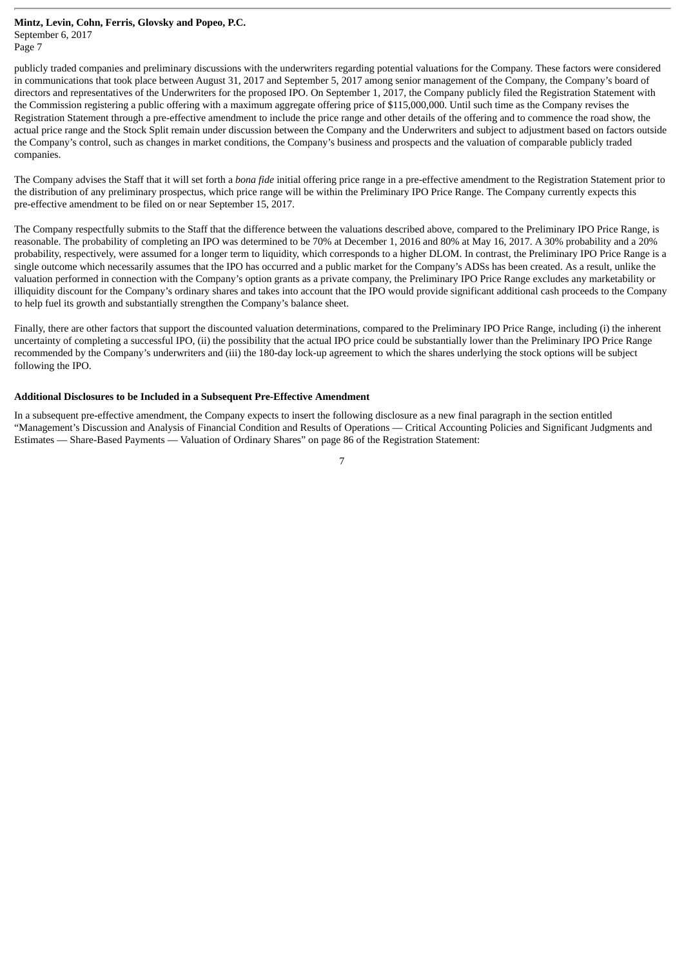Page 7

publicly traded companies and preliminary discussions with the underwriters regarding potential valuations for the Company. These factors were considered in communications that took place between August 31, 2017 and September 5, 2017 among senior management of the Company, the Company's board of directors and representatives of the Underwriters for the proposed IPO. On September 1, 2017, the Company publicly filed the Registration Statement with the Commission registering a public offering with a maximum aggregate offering price of \$115,000,000. Until such time as the Company revises the Registration Statement through a pre-effective amendment to include the price range and other details of the offering and to commence the road show, the actual price range and the Stock Split remain under discussion between the Company and the Underwriters and subject to adjustment based on factors outside the Company's control, such as changes in market conditions, the Company's business and prospects and the valuation of comparable publicly traded companies.

The Company advises the Staff that it will set forth a *bona fide* initial offering price range in a pre-effective amendment to the Registration Statement prior to the distribution of any preliminary prospectus, which price range will be within the Preliminary IPO Price Range. The Company currently expects this pre-effective amendment to be filed on or near September 15, 2017.

The Company respectfully submits to the Staff that the difference between the valuations described above, compared to the Preliminary IPO Price Range, is reasonable. The probability of completing an IPO was determined to be 70% at December 1, 2016 and 80% at May 16, 2017. A 30% probability and a 20% probability, respectively, were assumed for a longer term to liquidity, which corresponds to a higher DLOM. In contrast, the Preliminary IPO Price Range is a single outcome which necessarily assumes that the IPO has occurred and a public market for the Company's ADSs has been created. As a result, unlike the valuation performed in connection with the Company's option grants as a private company, the Preliminary IPO Price Range excludes any marketability or illiquidity discount for the Company's ordinary shares and takes into account that the IPO would provide significant additional cash proceeds to the Company to help fuel its growth and substantially strengthen the Company's balance sheet.

Finally, there are other factors that support the discounted valuation determinations, compared to the Preliminary IPO Price Range, including (i) the inherent uncertainty of completing a successful IPO, (ii) the possibility that the actual IPO price could be substantially lower than the Preliminary IPO Price Range recommended by the Company's underwriters and (iii) the 180-day lock-up agreement to which the shares underlying the stock options will be subject following the IPO.

#### **Additional Disclosures to be Included in a Subsequent Pre-Effective Amendment**

In a subsequent pre-effective amendment, the Company expects to insert the following disclosure as a new final paragraph in the section entitled "Management's Discussion and Analysis of Financial Condition and Results of Operations — Critical Accounting Policies and Significant Judgments and Estimates — Share-Based Payments — Valuation of Ordinary Shares" on page 86 of the Registration Statement: